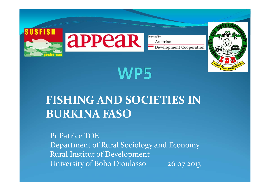

# WP5

#### **FISHING AND SOCIETIES IN BURKINA FASO**

Pr Patrice TOEDepartment of Rural Sociology and Economy Rural Institut of Development University of Bobo Dioulasso 26 07 2013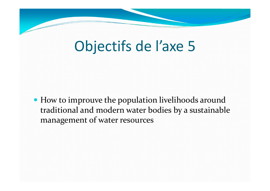# Objectifs de l'axe 5

 How to improuve the population livelihoods around traditional and modern water bodies by <sup>a</sup> sustainable managemen<sup>t</sup> of water resources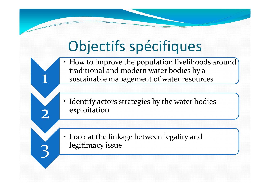# Objectifs spécifiques

1

2

3

- • How to improve the population livelihoods around traditional and modern water bodies by <sup>a</sup> sustainable managemen<sup>t</sup> of water resources
- Identify actors strategies by the water bodies exploitation
- Look at the linkage between legality and legitimacy issue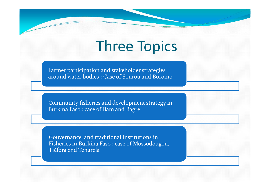## Three Topics

Farmer participation and stakeholder strategies around water bodies : Case of Sourou and Boromo

Community fisheries and development strategy in Burkina Faso : case of Bam and Bagré

Gouvernance and traditional institutions in Fisheries in Burkina Faso : case of Mossodougou, Tiéfora end Tengrela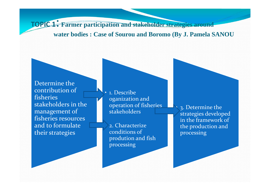**TOPIC <sup>1</sup>**: **Farmer participation and stakeholder strategies around**

#### **water bodies : Case of Sourou and Boromo (By J. Pamela SANOU**

Determine the contribution of fisheries stakeholders in the managemen<sup>t</sup> of fisheries resources and to formulate their strategies

• 1. Describe oganization and operation of fisheries stakeholders

 2. Characterizeconditions of prodution and fish processing

 3. Determine the strategies developed in the framework of the production and processing

•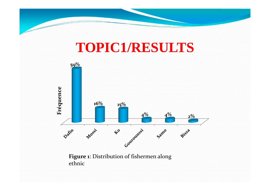

### **TOPIC1/RESULTS**



**Figure 1**: Distribution of fishermen along ethnic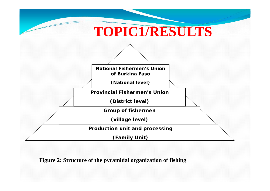

#### **Figure 2: Structure of the pyramidal organization of fishing**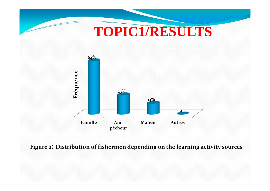

Figure 2: Distribution of fishermen depending on the learning activity sources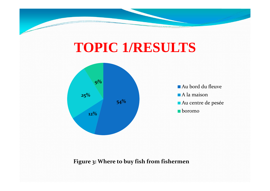# **TOPIC 1/RESULTS**



**Figure 3: Where to buy fish from fishermen**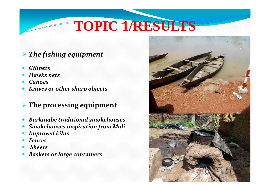# **TOPIC 1/RESULTS**

#### *The fishing equipment*

- $\bullet$ *Gillnets*
- $\bullet$ *Hawks nets*
- $\bullet$ *Canoes*
- $\bullet$ *Knives or other sharp objects*

#### **The processing equipment**

- $\bullet$ *Burkinabe traditional smokehouses*
- $\bullet$ *Smokehouses inspiration from Mali*
- $\bullet$ *Improved kilns*
- $\bullet$ *Fences*
- $\bullet$ *Sheets*
- $\bullet$ *Baskets or large containers*

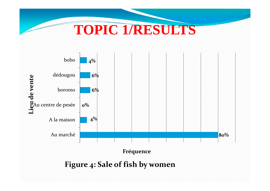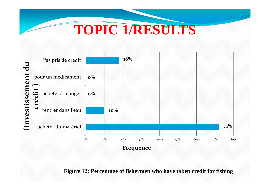## **TOPIC 1/RESULTS**



**Figure 12: Percentage of fishermen who have taken credit for fishing**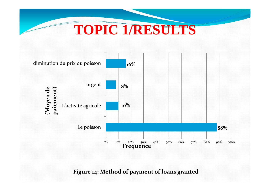



Figure 14: Method of payment of loans granted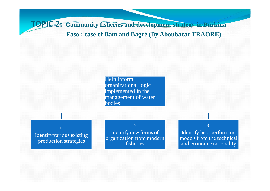**TOPIC 2: Community fisheries and development strategy in Burkina** 

#### **Faso : case of Bam and Bagré (By Aboubacar TRAORE)**

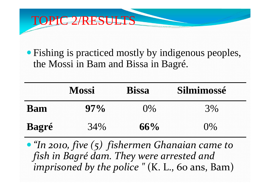#### TOPIC 2/RESULTS

 Fishing is practiced mostly by indigenous peoples, the Mossi in Bam and Bissa in Bagré.

|                       | <b>Mossi</b>                                            | <b>Bissa</b> | Silmimossé |
|-----------------------|---------------------------------------------------------|--------------|------------|
| <b>Bam</b>            | $97\%$                                                  | $0\%$        | 3%         |
| <b>Bagré</b>          | 34%                                                     | $66\%$       | $0\%$      |
| $\prime\prime$ $\sim$ | <b>WARD AND MARKET AND THE REAL PROPERTY.</b><br>$\sim$ | $\sim$ 1     |            |

 *"In 2010, five (5) fishermen Ghanaian came to fish in Bagré dam. They were arrested and imprisoned by the police "* (K. L., <sup>60</sup> ans, Bam)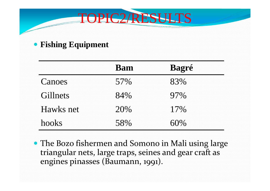

#### • Fishing Equipment

|           | <b>Bam</b> | <b>Bagré</b> |
|-----------|------------|--------------|
| Canoes    | 57%        | 83%          |
| Gillnets  | 84%        | 97%          |
| Hawks net | 20%        | 17%          |
| hooks     | 58%        | 60%          |

• The Bozo fishermen and Somono in Mali using large triangular nets, large traps, seines and gear craft as engines pinasses (Baumann, 1991).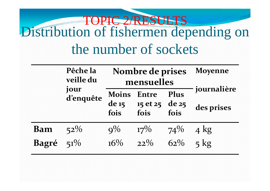## Distribution of fishermen depending on the number of sockets TOPIC 2/RESULTS

|              | Pêche la<br>veille du | Nombre de prises<br>mensuelles |                                      |        | <b>Moyenne</b>            |
|--------------|-----------------------|--------------------------------|--------------------------------------|--------|---------------------------|
|              | jour<br>d'enquête     | <b>Moins</b><br>$de_1$<br>fois | Entre Plus<br>15 et 25 de 25<br>fois | fois   | journalière<br>des prises |
| <b>Bam</b>   | $52\%$                | $Q\%$                          | $17\%$                               | $74\%$ | $4 \text{ kg}$            |
| <b>Bagré</b> | $51\%$                | $16\%$                         | $22\%$                               | $62\%$ | $5 \text{ kg}$            |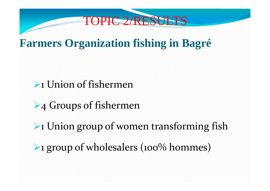

#### **Farmers Organization fishing in Bagré**

#### **1** Union of fishermen

- ▶4 Groups of fishermen
- **Example 1 Union group of women transforming fish**
- ▶ 1 group of wholesalers (100% hommes)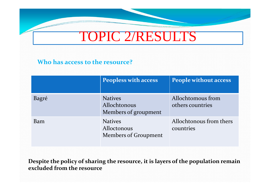#### TOPIC 2/RESULTS

#### **Who has access to the resource?**

|       | <b>Peopless with access</b>                            | <b>People without access</b>          |
|-------|--------------------------------------------------------|---------------------------------------|
| Bagré | <b>Natives</b><br>Allochtonous<br>Members of groupment | Allochtomous from<br>others countries |
| Bam   | <b>Natives</b><br>Alloctonous<br>Members of Groupment  | Allochtonous from thers<br>countries  |

**Despite the policy of sharing the resource, it is layers of the population remain excluded from the resource**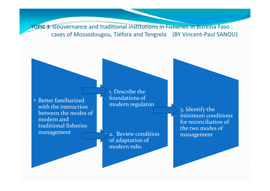**TOPIC 3**: Gouvernance and traditional institutions in Fisheries in Burkina Faso : cases of Mossodougou, Tiéfora and Tengrela (BY Vincent‐Paul SANOU)

• Better familiarized with the interaction between the modes of modern and traditional fisheries management

 1. Describe the foundations of modern regulaton

 2. Review condition of adaptation of modern rules

•

 3. Identify the minimum conditions for reconciliation of the two modes of management

•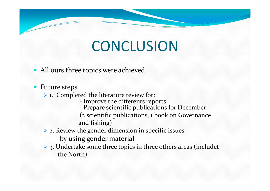## **CONCLUSION**

- All ours three topics were achieved
- Future steps
	- $\triangleright$  1. Completed the literature review for:
		- Improve the differents reports;
		- Prepare scientific publications for December
		- (2 scientific publications, 1 book on Governance and fishing)
	- $\triangleright$  2. Review the gender dimension in specific issues by using gender material
	- **→ 3. Undertake some three topics in three others areas (includet** the North)